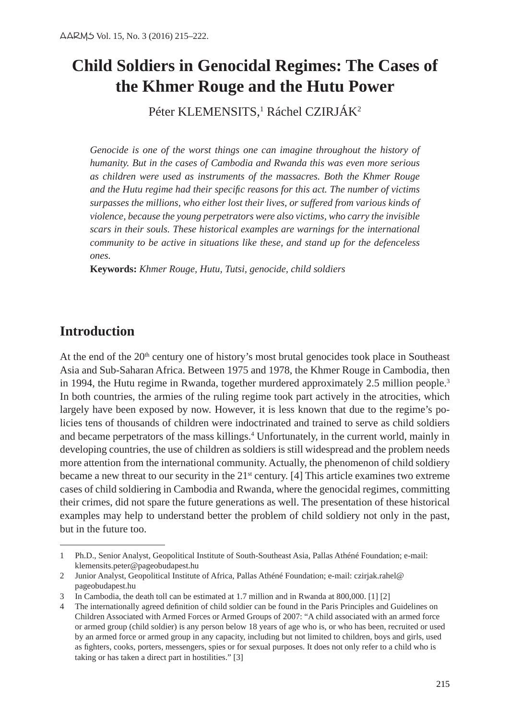# **Child Soldiers in Genocidal Regimes: The Cases of the Khmer Rouge and the Hutu Power**

Péter KLEMENSITS,<sup>1</sup> Ráchel CZIRJAK<sup>2</sup>

*Genocide is one of the worst things one can imagine throughout the history of humanity. But in the cases of Cambodia and Rwanda this was even more serious as children were used as instruments of the massacres. Both the Khmer Rouge and the Hutu regime had their specific reasons for this act. The number of victims surpasses the millions, who either lost their lives, or suffered from various kinds of violence, because the young perpetrators were also victims, who carry the invisible scars in their souls. These historical examples are warnings for the international community to be active in situations like these, and stand up for the defenceless ones.*

**Keywords:** *Khmer Rouge, Hutu, Tutsi, genocide, child soldiers*

# **Introduction**

At the end of the  $20<sup>th</sup>$  century one of history's most brutal genocides took place in Southeast Asia and Sub-Saharan Africa. Between 1975 and 1978, the Khmer Rouge in Cambodia, then in 1994, the Hutu regime in Rwanda, together murdered approximately 2.5 million people.<sup>3</sup> In both countries, the armies of the ruling regime took part actively in the atrocities, which largely have been exposed by now. However, it is less known that due to the regime's policies tens of thousands of children were indoctrinated and trained to serve as child soldiers and became perpetrators of the mass killings.4 Unfortunately, in the current world, mainly in developing countries, the use of children as soldiers is still widespread and the problem needs more attention from the international community. Actually, the phenomenon of child soldiery became a new threat to our security in the  $21<sup>st</sup>$  century. [4] This article examines two extreme cases of child soldiering in Cambodia and Rwanda, where the genocidal regimes, committing their crimes, did not spare the future generations as well. The presentation of these historical examples may help to understand better the problem of child soldiery not only in the past, but in the future too.

<sup>1</sup> Ph.D., Senior Analyst, Geopolitical Institute of South-Southeast Asia, Pallas Athéné Foundation; e-mail: klemensits.peter@pageobudapest.hu

<sup>2</sup> Junior Analyst, Geopolitical Institute of Africa, Pallas Athéné Foundation; e-mail: czirjak.rahel@ pageobudapest.hu

<sup>3</sup> In Cambodia, the death toll can be estimated at 1.7 million and in Rwanda at 800,000. [1] [2]

<sup>4</sup> The internationally agreed definition of child soldier can be found in the Paris Principles and Guidelines on Children Associated with Armed Forces or Armed Groups of 2007: "A child associated with an armed force or armed group (child soldier) is any person below 18 years of age who is, or who has been, recruited or used by an armed force or armed group in any capacity, including but not limited to children, boys and girls, used as fighters, cooks, porters, messengers, spies or for sexual purposes. It does not only refer to a child who is taking or has taken a direct part in hostilities." [3]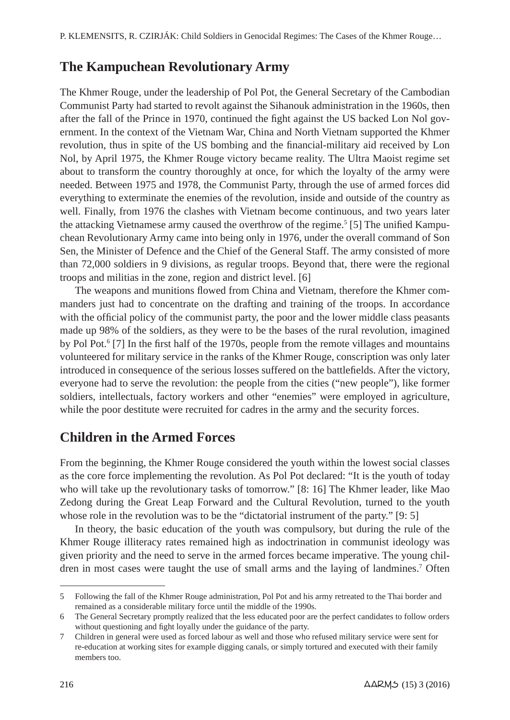# **The Kampuchean Revolutionary Army**

The Khmer Rouge, under the leadership of Pol Pot, the General Secretary of the Cambodian Communist Party had started to revolt against the Sihanouk administration in the 1960s, then after the fall of the Prince in 1970, continued the fight against the US backed Lon Nol government. In the context of the Vietnam War, China and North Vietnam supported the Khmer revolution, thus in spite of the US bombing and the financial-military aid received by Lon Nol, by April 1975, the Khmer Rouge victory became reality. The Ultra Maoist regime set about to transform the country thoroughly at once, for which the loyalty of the army were needed. Between 1975 and 1978, the Communist Party, through the use of armed forces did everything to exterminate the enemies of the revolution, inside and outside of the country as well. Finally, from 1976 the clashes with Vietnam become continuous, and two years later the attacking Vietnamese army caused the overthrow of the regime.<sup>5</sup> [5] The unified Kampuchean Revolutionary Army came into being only in 1976, under the overall command of Son Sen, the Minister of Defence and the Chief of the General Staff. The army consisted of more than 72,000 soldiers in 9 divisions, as regular troops. Beyond that, there were the regional troops and militias in the zone, region and district level. [6]

The weapons and munitions flowed from China and Vietnam, therefore the Khmer commanders just had to concentrate on the drafting and training of the troops. In accordance with the official policy of the communist party, the poor and the lower middle class peasants made up 98% of the soldiers, as they were to be the bases of the rural revolution, imagined by Pol Pot.<sup>6</sup> [7] In the first half of the 1970s, people from the remote villages and mountains volunteered for military service in the ranks of the Khmer Rouge, conscription was only later introduced in consequence of the serious losses suffered on the battlefields. After the victory, everyone had to serve the revolution: the people from the cities ("new people"), like former soldiers, intellectuals, factory workers and other "enemies" were employed in agriculture, while the poor destitute were recruited for cadres in the army and the security forces.

# **Children in the Armed Forces**

From the beginning, the Khmer Rouge considered the youth within the lowest social classes as the core force implementing the revolution. As Pol Pot declared: "It is the youth of today who will take up the revolutionary tasks of tomorrow." [8: 16] The Khmer leader, like Mao Zedong during the Great Leap Forward and the Cultural Revolution, turned to the youth whose role in the revolution was to be the "dictatorial instrument of the party." [9: 5]

In theory, the basic education of the youth was compulsory, but during the rule of the Khmer Rouge illiteracy rates remained high as indoctrination in communist ideology was given priority and the need to serve in the armed forces became imperative. The young children in most cases were taught the use of small arms and the laying of landmines.<sup>7</sup> Often

<sup>5</sup> Following the fall of the Khmer Rouge administration, Pol Pot and his army retreated to the Thai border and remained as a considerable military force until the middle of the 1990s.

<sup>6</sup> The General Secretary promptly realized that the less educated poor are the perfect candidates to follow orders without questioning and fight loyally under the guidance of the party.

<sup>7</sup> Children in general were used as forced labour as well and those who refused military service were sent for re-education at working sites for example digging canals, or simply tortured and executed with their family members too.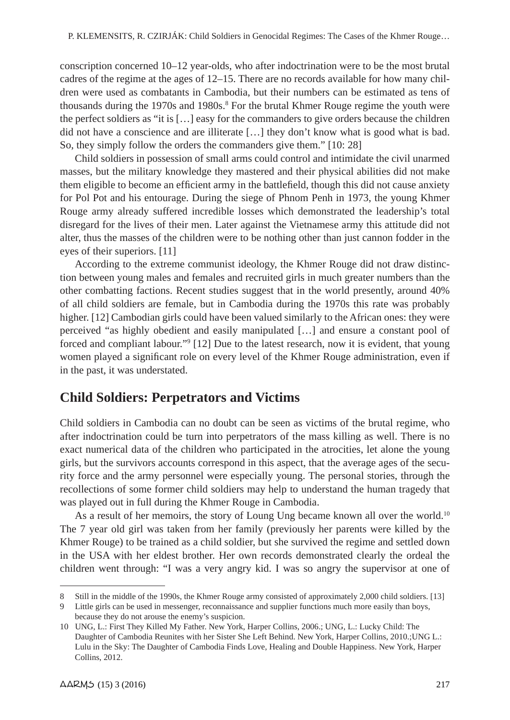conscription concerned 10–12 year-olds, who after indoctrination were to be the most brutal cadres of the regime at the ages of 12–15. There are no records available for how many children were used as combatants in Cambodia, but their numbers can be estimated as tens of thousands during the 1970s and 1980s.<sup>8</sup> For the brutal Khmer Rouge regime the youth were the perfect soldiers as "it is […] easy for the commanders to give orders because the children did not have a conscience and are illiterate […] they don't know what is good what is bad. So, they simply follow the orders the commanders give them." [10: 28]

Child soldiers in possession of small arms could control and intimidate the civil unarmed masses, but the military knowledge they mastered and their physical abilities did not make them eligible to become an efficient army in the battlefield, though this did not cause anxiety for Pol Pot and his entourage. During the siege of Phnom Penh in 1973, the young Khmer Rouge army already suffered incredible losses which demonstrated the leadership's total disregard for the lives of their men. Later against the Vietnamese army this attitude did not alter, thus the masses of the children were to be nothing other than just cannon fodder in the eyes of their superiors. [11]

According to the extreme communist ideology, the Khmer Rouge did not draw distinction between young males and females and recruited girls in much greater numbers than the other combatting factions. Recent studies suggest that in the world presently, around 40% of all child soldiers are female, but in Cambodia during the 1970s this rate was probably higher. [12] Cambodian girls could have been valued similarly to the African ones: they were perceived "as highly obedient and easily manipulated […] and ensure a constant pool of forced and compliant labour."9 [12] Due to the latest research, now it is evident, that young women played a significant role on every level of the Khmer Rouge administration, even if in the past, it was understated.

## **Child Soldiers: Perpetrators and Victims**

Child soldiers in Cambodia can no doubt can be seen as victims of the brutal regime, who after indoctrination could be turn into perpetrators of the mass killing as well. There is no exact numerical data of the children who participated in the atrocities, let alone the young girls, but the survivors accounts correspond in this aspect, that the average ages of the security force and the army personnel were especially young. The personal stories, through the recollections of some former child soldiers may help to understand the human tragedy that was played out in full during the Khmer Rouge in Cambodia.

As a result of her memoirs, the story of Loung Ung became known all over the world.<sup>10</sup> The 7 year old girl was taken from her family (previously her parents were killed by the Khmer Rouge) to be trained as a child soldier, but she survived the regime and settled down in the USA with her eldest brother. Her own records demonstrated clearly the ordeal the children went through: "I was a very angry kid. I was so angry the supervisor at one of

<sup>8</sup> Still in the middle of the 1990s, the Khmer Rouge army consisted of approximately 2,000 child soldiers. [13]

<sup>9</sup> Little girls can be used in messenger, reconnaissance and supplier functions much more easily than boys, because they do not arouse the enemy's suspicion.

<sup>10</sup> UNG, L.: First They Killed My Father. New York, Harper Collins, 2006.; UNG, L.: Lucky Child: The Daughter of Cambodia Reunites with her Sister She Left Behind. New York, Harper Collins, 2010.;UNG L.: Lulu in the Sky: The Daughter of Cambodia Finds Love, Healing and Double Happiness. New York, Harper Collins, 2012.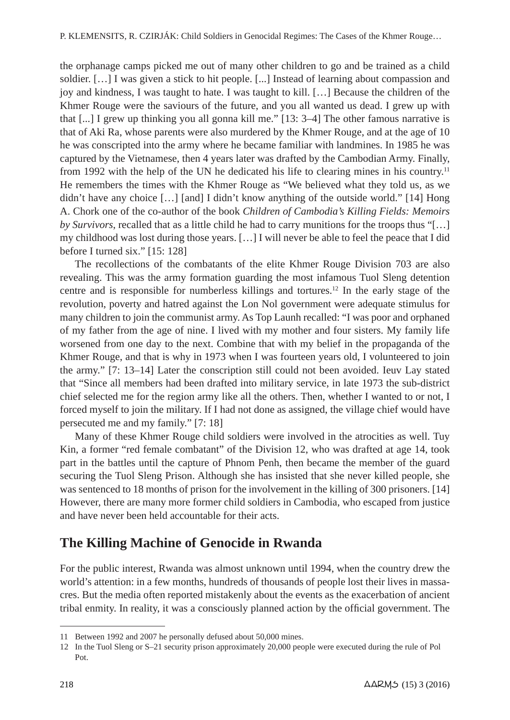the orphanage camps picked me out of many other children to go and be trained as a child soldier. […] I was given a stick to hit people. [...] Instead of learning about compassion and joy and kindness, I was taught to hate. I was taught to kill. […] Because the children of the Khmer Rouge were the saviours of the future, and you all wanted us dead. I grew up with that [...] I grew up thinking you all gonna kill me." [13: 3–4] The other famous narrative is that of Aki Ra, whose parents were also murdered by the Khmer Rouge, and at the age of 10 he was conscripted into the army where he became familiar with landmines. In 1985 he was captured by the Vietnamese, then 4 years later was drafted by the Cambodian Army. Finally, from 1992 with the help of the UN he dedicated his life to clearing mines in his country.11 He remembers the times with the Khmer Rouge as "We believed what they told us, as we didn't have any choice […] [and] I didn't know anything of the outside world." [14] Hong A. Chork one of the co-author of the book *Children of Cambodia's Killing Fields: Memoirs by Survivors*, recalled that as a little child he had to carry munitions for the troops thus "[…] my childhood was lost during those years. […] I will never be able to feel the peace that I did before I turned six." [15: 128]

The recollections of the combatants of the elite Khmer Rouge Division 703 are also revealing. This was the army formation guarding the most infamous Tuol Sleng detention centre and is responsible for numberless killings and tortures.<sup>12</sup> In the early stage of the revolution, poverty and hatred against the Lon Nol government were adequate stimulus for many children to join the communist army. As Top Launh recalled: "I was poor and orphaned of my father from the age of nine. I lived with my mother and four sisters. My family life worsened from one day to the next. Combine that with my belief in the propaganda of the Khmer Rouge, and that is why in 1973 when I was fourteen years old, I volunteered to join the army." [7: 13–14] Later the conscription still could not been avoided. Ieuv Lay stated that "Since all members had been drafted into military service, in late 1973 the sub-district chief selected me for the region army like all the others. Then, whether I wanted to or not, I forced myself to join the military. If I had not done as assigned, the village chief would have persecuted me and my family." [7: 18]

Many of these Khmer Rouge child soldiers were involved in the atrocities as well. Tuy Kin, a former "red female combatant" of the Division 12, who was drafted at age 14, took part in the battles until the capture of Phnom Penh, then became the member of the guard securing the Tuol Sleng Prison. Although she has insisted that she never killed people, she was sentenced to 18 months of prison for the involvement in the killing of 300 prisoners. [14] However, there are many more former child soldiers in Cambodia, who escaped from justice and have never been held accountable for their acts.

#### **The Killing Machine of Genocide in Rwanda**

For the public interest, Rwanda was almost unknown until 1994, when the country drew the world's attention: in a few months, hundreds of thousands of people lost their lives in massacres. But the media often reported mistakenly about the events as the exacerbation of ancient tribal enmity. In reality, it was a consciously planned action by the official government. The

<sup>11</sup> Between 1992 and 2007 he personally defused about 50,000 mines.

<sup>12</sup> In the Tuol Sleng or S–21 security prison approximately 20,000 people were executed during the rule of Pol Pot.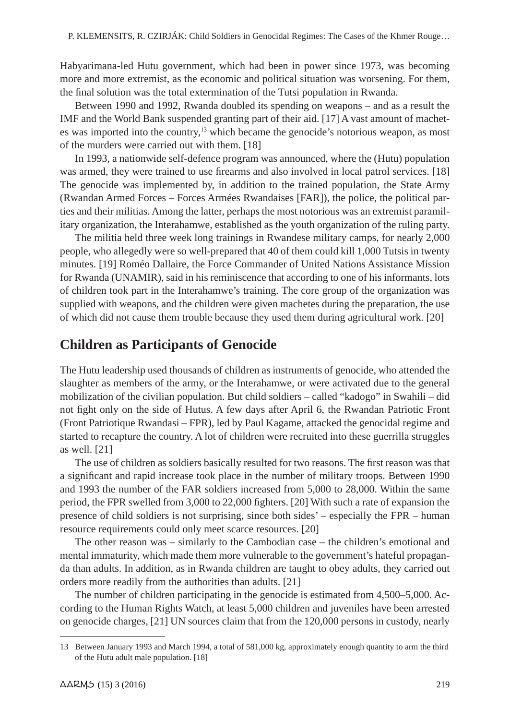Habyarimana-led Hutu government, which had been in power since 1973, was becoming more and more extremist, as the economic and political situation was worsening. For them, the final solution was the total extermination of the Tutsi population in Rwanda.

Between 1990 and 1992, Rwanda doubled its spending on weapons – and as a result the IMF and the World Bank suspended granting part of their aid. [17] A vast amount of machetes was imported into the country,<sup>13</sup> which became the genocide's notorious weapon, as most of the murders were carried out with them. [18]

In 1993, a nationwide self-defence program was announced, where the (Hutu) population was armed, they were trained to use firearms and also involved in local patrol services. [18] The genocide was implemented by, in addition to the trained population, the State Army (Rwandan Armed Forces – Forces Armées Rwandaises [FAR]), the police, the political parties and their militias. Among the latter, perhaps the most notorious was an extremist paramilitary organization, the Interahamwe, established as the youth organization of the ruling party.

The militia held three week long trainings in Rwandese military camps, for nearly 2,000 people, who allegedly were so well-prepared that 40 of them could kill 1,000 Tutsis in twenty minutes. [19] Roméo Dallaire, the Force Commander of United Nations Assistance Mission for Rwanda (UNAMIR), said in his reminiscence that according to one of his informants, lots of children took part in the Interahamwe's training. The core group of the organization was supplied with weapons, and the children were given machetes during the preparation, the use of which did not cause them trouble because they used them during agricultural work. [20]

## **Children as Participants of Genocide**

The Hutu leadership used thousands of children as instruments of genocide, who attended the slaughter as members of the army, or the Interahamwe, or were activated due to the general mobilization of the civilian population. But child soldiers – called "kadogo" in Swahili – did not fight only on the side of Hutus. A few days after April 6, the Rwandan Patriotic Front (Front Patriotique Rwandasi – FPR), led by Paul Kagame, attacked the genocidal regime and started to recapture the country. A lot of children were recruited into these guerrilla struggles as well. [21]

The use of children as soldiers basically resulted for two reasons. The first reason was that a significant and rapid increase took place in the number of military troops. Between 1990 and 1993 the number of the FAR soldiers increased from 5,000 to 28,000. Within the same period, the FPR swelled from 3,000 to 22,000 fighters. [20] With such a rate of expansion the presence of child soldiers is not surprising, since both sides' – especially the FPR – human resource requirements could only meet scarce resources. [20]

The other reason was – similarly to the Cambodian case – the children's emotional and mental immaturity, which made them more vulnerable to the government's hateful propaganda than adults. In addition, as in Rwanda children are taught to obey adults, they carried out orders more readily from the authorities than adults. [21]

The number of children participating in the genocide is estimated from 4,500–5,000. According to the Human Rights Watch, at least 5,000 children and juveniles have been arrested on genocide charges, [21] UN sources claim that from the 120,000 persons in custody, nearly

<sup>13</sup> Between January 1993 and March 1994, a total of 581,000 kg, approximately enough quantity to arm the third of the Hutu adult male population. [18]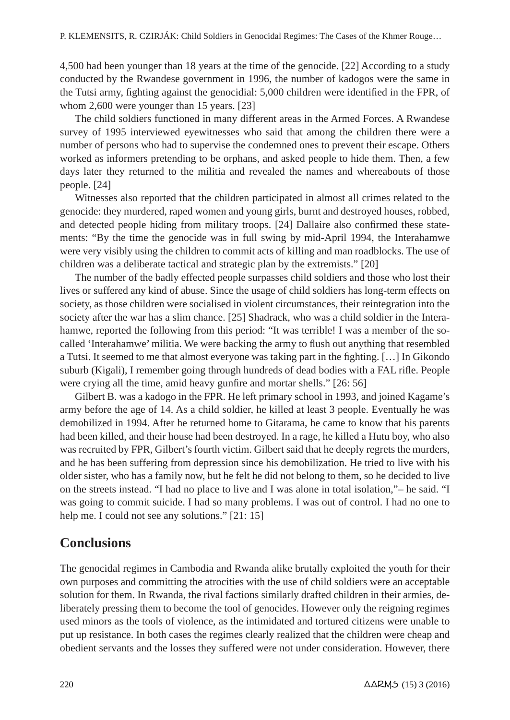4,500 had been younger than 18 years at the time of the genocide. [22] According to a study conducted by the Rwandese government in 1996, the number of kadogos were the same in the Tutsi army, fighting against the genocidial: 5,000 children were identified in the FPR, of whom 2,600 were younger than 15 years. [23]

The child soldiers functioned in many different areas in the Armed Forces. A Rwandese survey of 1995 interviewed eyewitnesses who said that among the children there were a number of persons who had to supervise the condemned ones to prevent their escape. Others worked as informers pretending to be orphans, and asked people to hide them. Then, a few days later they returned to the militia and revealed the names and whereabouts of those people. [24]

Witnesses also reported that the children participated in almost all crimes related to the genocide: they murdered, raped women and young girls, burnt and destroyed houses, robbed, and detected people hiding from military troops. [24] Dallaire also confirmed these statements: "By the time the genocide was in full swing by mid-April 1994, the Interahamwe were very visibly using the children to commit acts of killing and man roadblocks. The use of children was a deliberate tactical and strategic plan by the extremists." [20]

The number of the badly effected people surpasses child soldiers and those who lost their lives or suffered any kind of abuse. Since the usage of child soldiers has long-term effects on society, as those children were socialised in violent circumstances, their reintegration into the society after the war has a slim chance. [25] Shadrack, who was a child soldier in the Interahamwe, reported the following from this period: "It was terrible! I was a member of the socalled 'Interahamwe' militia. We were backing the army to flush out anything that resembled a Tutsi. It seemed to me that almost everyone was taking part in the fighting. […] In Gikondo suburb (Kigali), I remember going through hundreds of dead bodies with a FAL rifle. People were crying all the time, amid heavy gunfire and mortar shells." [26: 56]

Gilbert B. was a kadogo in the FPR. He left primary school in 1993, and joined Kagame's army before the age of 14. As a child soldier, he killed at least 3 people. Eventually he was demobilized in 1994. After he returned home to Gitarama, he came to know that his parents had been killed, and their house had been destroyed. In a rage, he killed a Hutu boy, who also was recruited by FPR, Gilbert's fourth victim. Gilbert said that he deeply regrets the murders, and he has been suffering from depression since his demobilization. He tried to live with his older sister, who has a family now, but he felt he did not belong to them, so he decided to live on the streets instead. "I had no place to live and I was alone in total isolation,"– he said. "I was going to commit suicide. I had so many problems. I was out of control. I had no one to help me. I could not see any solutions." [21: 15]

#### **Conclusions**

The genocidal regimes in Cambodia and Rwanda alike brutally exploited the youth for their own purposes and committing the atrocities with the use of child soldiers were an acceptable solution for them. In Rwanda, the rival factions similarly drafted children in their armies, deliberately pressing them to become the tool of genocides. However only the reigning regimes used minors as the tools of violence, as the intimidated and tortured citizens were unable to put up resistance. In both cases the regimes clearly realized that the children were cheap and obedient servants and the losses they suffered were not under consideration. However, there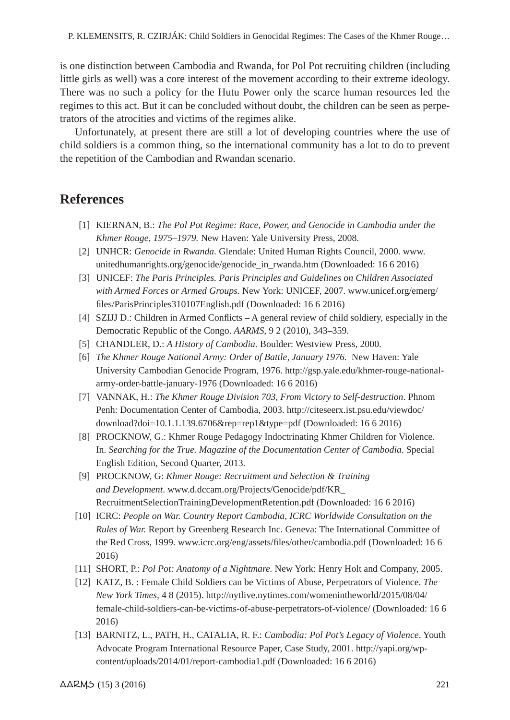is one distinction between Cambodia and Rwanda, for Pol Pot recruiting children (including little girls as well) was a core interest of the movement according to their extreme ideology. There was no such a policy for the Hutu Power only the scarce human resources led the regimes to this act. But it can be concluded without doubt, the children can be seen as perpetrators of the atrocities and victims of the regimes alike.

Unfortunately, at present there are still a lot of developing countries where the use of child soldiers is a common thing, so the international community has a lot to do to prevent the repetition of the Cambodian and Rwandan scenario.

### **References**

- [1] KIERNAN, B.: *The Pol Pot Regime: Race, Power, and Genocide in Cambodia under the Khmer Rouge, 1975–1979.* New Haven: Yale University Press, 2008.
- [2] UNHCR: *Genocide in Rwanda.* Glendale: United Human Rights Council, 2000. www. unitedhumanrights.org/genocide/genocide\_in\_rwanda.htm (Downloaded: 16 6 2016)
- [3] UNICEF: *The Paris Principles. Paris Principles and Guidelines on Children Associated with Armed Forces or Armed Groups.* New York: UNICEF, 2007. www.unicef.org/emerg/ files/ParisPrinciples310107English.pdf (Downloaded: 16 6 2016)
- [4] SZIJJ D.: Children in Armed Conflicts A general review of child soldiery, especially in the Democratic Republic of the Congo. *AARMS,* 9 2 (2010), 343–359.
- [5] CHANDLER, D.: *A History of Cambodia.* Boulder: Westview Press, 2000.
- [6] *The Khmer Rouge National Army: Order of Battle, January 1976.* New Haven: Yale University Cambodian Genocide Program, 1976. http://gsp.yale.edu/khmer-rouge-nationalarmy-order-battle-january-1976 (Downloaded: 16 6 2016)
- [7] VANNAK, H.: *The Khmer Rouge Division 703, From Victory to Self-destruction*. Phnom Penh: Documentation Center of Cambodia, 2003. http://citeseerx.ist.psu.edu/viewdoc/ download?doi=10.1.1.139.6706&rep=rep1&type=pdf (Downloaded: 16 6 2016)
- [8] PROCKNOW, G.: Khmer Rouge Pedagogy Indoctrinating Khmer Children for Violence. In. *Searching for the True. Magazine of the Documentation Center of Cambodia*. Special English Edition, Second Quarter, 2013.
- [9] PROCKNOW, G: *Khmer Rouge: Recruitment and Selection & Training and Development*. www.d.dccam.org/Projects/Genocide/pdf/KR\_ RecruitmentSelectionTrainingDevelopmentRetention.pdf (Downloaded: 16 6 2016)
- [10] ICRC: *People on War. Country Report Cambodia, ICRC Worldwide Consultation on the Rules of War.* Report by Greenberg Research Inc. Geneva: The International Committee of the Red Cross, 1999. www.icrc.org/eng/assets/files/other/cambodia.pdf (Downloaded: 16 6 2016)
- [11] SHORT, P.: *Pol Pot: Anatomy of a Nightmare.* New York: Henry Holt and Company, 2005.
- [12] KATZ, B. : Female Child Soldiers can be Victims of Abuse, Perpetrators of Violence. *The New York Times,* 4 8 (2015). http://nytlive.nytimes.com/womenintheworld/2015/08/04/ female-child-soldiers-can-be-victims-of-abuse-perpetrators-of-violence/ (Downloaded: 16 6 2016)
- [13] BARNITZ, L., PATH, H., CATALIA, R. F.: *Cambodia: Pol Pot's Legacy of Violence*. Youth Advocate Program International Resource Paper, Case Study, 2001. http://yapi.org/wpcontent/uploads/2014/01/report-cambodia1.pdf (Downloaded: 16 6 2016)